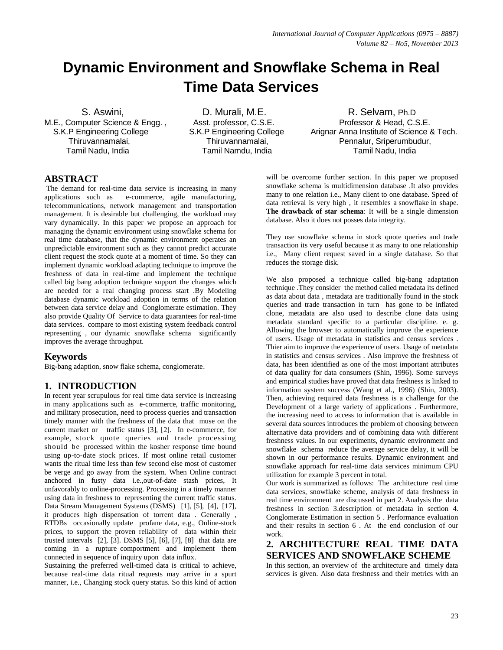# **Dynamic Environment and Snowflake Schema in Real Time Data Services**

M.E., Computer Science & Engg. , Asst. professor, C.S.E. Professor & Head, C.S.E.

S. Aswini, S. Aswini, S. Aswini, S. Aswini, S. Aswini, Ph.D. D. Murali, M.E. S. Assetsion R. Selvam, Ph.D. S.K.P Engineering College S.K.P Engineering College Arignar Anna Institute of Science & Tech. Thiruvannamalai, Thiruvannamalai, Pennalur, Sriperumbudur, Tamil Nadu, India Tamil Namdu, India Tamil Nadu, India

## **ABSTRACT**

The demand for real-time data service is increasing in many applications such as e-commerce, agile manufacturing, telecommunications, network management and transportation management. It is desirable but challenging, the workload may vary dynamically. In this paper we propose an approach for managing the dynamic environment using snowflake schema for real time database, that the dynamic environment operates an unpredictable environment such as they cannot predict accurate client request the stock quote at a moment of time. So they can implement dynamic workload adapting technique to improve the freshness of data in real-time and implement the technique called big bang adoption technique support the changes which are needed for a real changing process start .By Modeling database dynamic workload adoption in terms of the relation between data service delay and Conglomerate estimation. They also provide Quality Of Service to data guarantees for real-time data services. compare to most existing system feedback control representing , our dynamic snowflake schema significantly improves the average throughput.

# **Keywords**

Big-bang adaption, snow flake schema, conglomerate.

# **1. INTRODUCTION**

In recent year scrupulous for real time data service is increasing in many applications such as e-commerce, traffic monitoring, and military prosecution, need to process queries and transaction timely manner with the freshness of the data that muse on the current market or traffic status [3], [2]. In e-commerce, for example, stock quote queries and trade processing should be processed within the kosher response time bound using up-to-date stock prices. If most online retail customer wants the ritual time less than few second else most of customer be verge and go away from the system. When Online contract anchored in fusty data i.e.,out-of-date stash prices, It unfavorably to online-processing. Processing in a timely manner using data in freshness to representing the current traffic status. Data Stream Management Systems (DSMS) [1], [5], [4], [17], it produces high dispensation of torrent data . Generally , RTDBs occasionally update profane data, e.g., Online-stock prices, to support the proven reliability of data within their trusted intervals [2], [3]. DSMS [5], [6], [7], [8] that data are coming in a rupture comportment and implement them connected in sequence of inquiry upon data influx.

Sustaining the preferred well-timed data is critical to achieve, because real-time data ritual requests may arrive in a spurt manner, i.e., Changing stock query status. So this kind of action will be overcome further section. In this paper we proposed snowflake schema is multidimension database .It also provides many to one relation i.e., Many client to one database. Speed of data retrieval is very high , it resembles a [snowflake](http://en.wikipedia.org/wiki/Snowflake) in shape. **The drawback of star schema**: It will be a single dimension database. Also it does not posses data integrity.

They use snowflake schema in stock quote queries and trade transaction its very useful because it as many to one relationship i.e., Many client request saved in a single database. So that reduces the storage disk.

We also proposed a technique called big-bang adaptation technique .They consider the method called metadata its defined as data about data , metadata are traditionally found in the stock queries and trade transaction in turn has gone to be inflated clone, metadata are also used to describe clone data using metadata standard specific to a particular discipline. e. g. Allowing the browser to automatically improve the experience of users. Usage of metadata in statistics and census services . Thier aim to improve the experience of users. Usage of metadata in statistics and census services . Also improve the freshness of data, has been identified as one of the most important attributes of data quality for data consumers (Shin, 1996). Some surveys and empirical studies have proved that data freshness is linked to information system success (Wang et al., 1996) (Shin, 2003). Then, achieving required data freshness is a challenge for the Development of a large variety of applications . Furthermore, the increasing need to access to information that is available in several data sources introduces the problem of choosing between alternative data providers and of combining data with different freshness values. In our experiments, dynamic environment and snowflake schema reduce the average service delay, it will be shown in our performance results. Dynamic environment and snowflake approach for real-time data services minimum CPU utilization for example 3 percent in total.

Our work is summarized as follows: The architecture real time data services, snowflake scheme, analysis of data freshness in real time environment are discussed in part 2. Analysis the data freshness in section 3.description of metadata in section 4. Conglomerate Estimation in section 5 . Performance evaluation and their results in section 6 . At the end conclusion of our work.

# **2. ARCHITECTURE REAL TIME DATA SERVICES AND SNOWFLAKE SCHEME**

In this section, an overview of the architecture and timely data services is given. Also data freshness and their metrics with an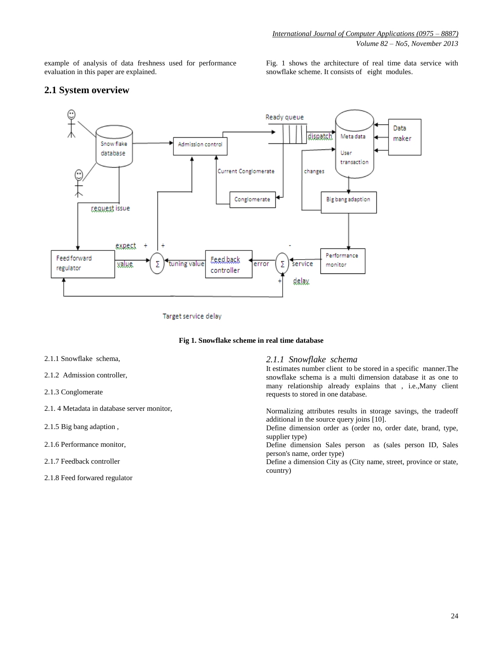example of analysis of data freshness used for performance evaluation in this paper are explained.

Fig. 1 shows the architecture of real time data service with snowflake scheme. It consists of eight modules.

# **2.1 System overview**



Target service delay

#### **Fig 1. Snowflake scheme in real time database**

- 2.1.1 Snowflake schema,
- 2.1.2 Admission controller,
- 2.1.3 Conglomerate
- 2.1. 4 Metadata in database server monitor,
- 2.1.5 Big bang adaption ,
- 2.1.6 Performance monitor,
- 2.1.7 Feedback controller
- 2.1.8 Feed forwared regulator

#### *2.1.1 Snowflake schema*

It estimates number client to be stored in a specific manner.The snowflake schema is a multi dimension database it as one to many relationship already explains that , i.e.,Many client requests to stored in one database.

Normalizing attributes results in storage savings, the tradeoff additional in the source query joins [10].

Define dimension order as (order no, order date, brand, type, supplier type)

Define dimension Sales person as (sales person ID, Sales person's name, order type)

Define a dimension City as (City name, street, province or state, country)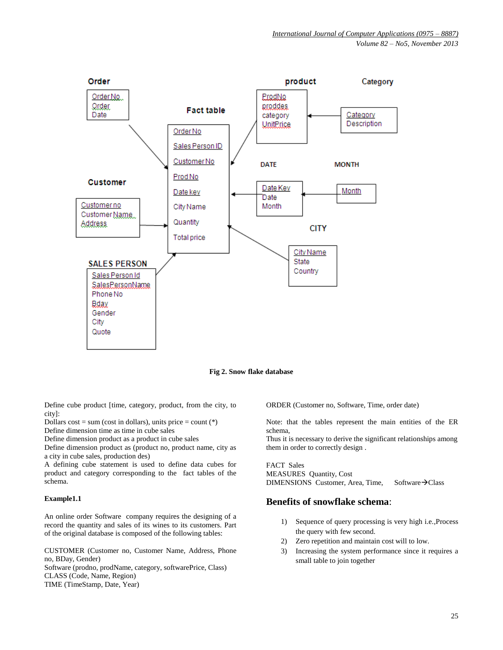

**Fig 2. Snow flake database**

Define cube product [time, category, product, from the city, to city]:

Dollars  $cost = sum (cost in dollars), units price = count (*)$ Define dimension time as time in cube sales

Define dimension product as a product in cube sales

Define dimension product as (product no, product name, city as a city in cube sales, production des)

A defining cube statement is used to define data cubes for product and category corresponding to the fact tables of the schema.

#### **Example1.1**

An online order Software company requires the designing of a record the quantity and sales of its wines to its customers. Part of the original database is composed of the following tables:

CUSTOMER (Customer no, Customer Name, Address, Phone no, BDay, Gender)

Software (prodno, prodName, category, softwarePrice, Class) CLASS (Code, Name, Region) TIME (TimeStamp, Date, Year)

ORDER (Customer no, Software, Time, order date)

Note: that the tables represent the main entities of the ER schema,

Thus it is necessary to derive the significant relationships among them in order to correctly design .

FACT Sales MEASURES Quantity, Cost DIMENSIONS Customer, Area, Time, Software $\rightarrow$ Class

## **Benefits of snowflake schema**:

- 1) Sequence of query processing is very high i.e.,Process the query with few second.
- 2) Zero repetition and maintain cost will to low.
- 3) Increasing the system performance since it requires a small table to join together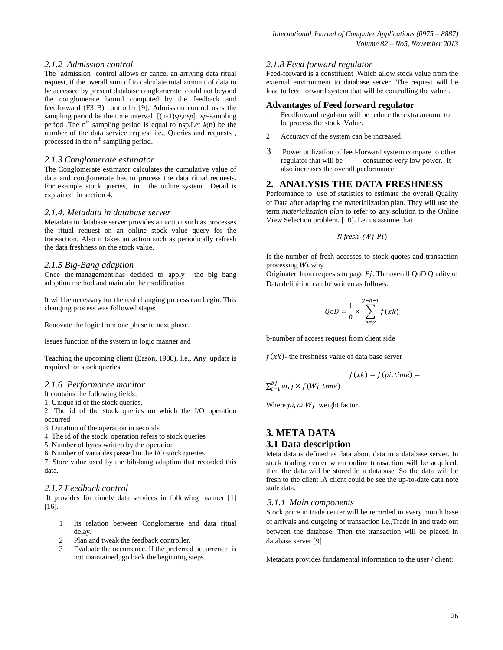#### *2.1.2 Admission control*

The admission control allows or cancel an arriving data ritual request, if the overall sum of to calculate total amount of data to be accessed by present database conglomerate could not beyond the conglomerate bound computed by the feedback and feedforward (F3 B) controller [9]. Admission control uses the sampling period be the time interval [(n-1)*sp,*n*sp*] *sp*-sampling period .The  $n<sup>th</sup>$  sampling period is equal to nsp.Let  $k(n)$  be the number of the data service request i.e., Queries and requests, processed in the n<sup>th</sup> sampling period.

#### *2.1.3 Conglomerate estimator*

The Conglomerate estimator calculates the cumulative value of data and conglomerate has to process the data ritual requests. For example stock queries, in the online system. Detail is explained in section 4.

#### *2.1.4. Metadata in database server*

Metadata in database server provides an action such as processes the ritual request on an online stock value query for the transaction. Also it takes an action such as periodically refresh the data freshness on the stock value.

#### *2.1.5 Big-Bang adaption*

Once the [management](http://en.wikipedia.org/wiki/Management) has decided to apply the big bang adoption method and maintain the modification

It will be necessary for the real changing process can begin. This changing process was followed stage:

Renovate the logic from one phase to next phase,

Issues function of the system in logic manner and

Teaching the upcoming client (Eason, 1988). I.e., Any update is required for stock queries

#### *2.1.6 Performance monitor*

It contains the following fields:

1. Unique id of the stock queries.

2. The id of the stock queries on which the I/O operation occurred

3. Duration of the operation in seconds

4. The id of the stock operation refers to stock queries

5. Number of bytes written by the operation

6. Number of variables passed to the I/O stock queries

7. Store value used by the bib-bang adaption that recorded this data.

#### *2.1.7 Feedback control*

It provides for timely data services in following manner [1] [16].

- 1 Its relation between Conglomerate and data ritual delay.
- 2 Plan and tweak the feedback controller.
- 3 Evaluate the occurrence. If the preferred occurrence is not maintained, go back the beginning steps.

#### *2.1.8 Feed forward regulator*

Feed-forward is a constituent .Which allow stock value from the external environment to database server. The request will be load to feed forward system that will be controlling the value.

#### **Advantages of Feed forward regulator**

- 1 Feedforward regulator will be reduce the extra amount to be process the stock Value.
- 2 Accuracy of the system can be increased.
- 3 Power utilization of feed-forward system compare to other regulator that will be consumed very low power. It consumed very low power. It also increases the overall performance.

## **2. ANALYSIS THE DATA FRESHNESS**

Performance to use of statistics to estimate the overall Quality of Data after adapting the materialization plan. They will use the term *materialization plan* to refer to any solution to the Online View Selection problem. [10]. Let us assume that

$$
N
$$
 *fresh* ( $Wj|Pi$ )

Is the number of fresh accesses to stock quotes and transaction processing  $Wi$  why

Originated from requests to page  $Pj$ . The overall QoD Quality of Data definition can be written as follows:

$$
QoD = \frac{1}{b} \times \sum_{n=y}^{y+b-1} f(xk)
$$

b-number of access request from client side

 $f(xk)$ - the freshness value of data base server

$$
f(xk) = f(pi, time) =
$$

 $\Sigma_i^b$ 

Where  $pi$ , ai  $Wj$  weight factor.

## **3. META DATA 3.1 Data description**

Meta data is defined as data about data in a database server. In stock trading center when online transaction will be acquired, then the data will be stored in a database .So the data will be fresh to the client .A client could be see the up-to-date data note stale data.

#### *3.1.1 Main components*

Stock price in trade center will be recorded in every month base of arrivals and outgoing of transaction i.e.,Trade in and trade out between the database. Then the transaction will be placed in database server [9].

Metadata provides fundamental information to the user / client: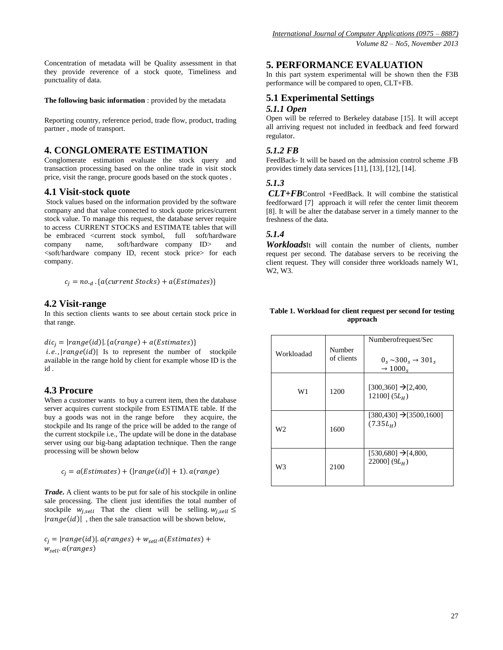Concentration of metadata will be Quality assessment in that they provide reverence of a stock quote, Timeliness and punctuality of data.

**The following basic information** : provided by the metadata

Reporting country, reference period, trade flow, product, trading partner , mode of transport.

## **4. CONGLOMERATE ESTIMATION**

Conglomerate estimation evaluate the stock query and transaction processing based on the online trade in visit stock price, visit the range, procure goods based on the stock quotes .

#### **4.1 Visit-stock quote**

Stock values based on the information provided by the software company and that value connected to stock quote prices/current stock value. To manage this request, the database server require to access CURRENT STOCKS and ESTIMATE tables that will be embraced <current stock symbol, full soft/hardware company name, soft/hardware company ID> and <soft/hardware company ID, recent stock price> for each company.

$$
c_j = no.d.\{a(current\,Stocks) + a(Estimates)\}
$$

## **4.2 Visit-range**

In this section clients wants to see about certain stock price in that range.

 $dic_i = |range(id)|$ . { $a(range) + a(Estimates)$ }

 $i.e., | range(id)|$  Is to represent the number of stockpile available in the range hold by client for example whose ID is the id .

#### **4.3 Procure**

When a customer wants to buy a current item, then the database server acquires current stockpile from ESTIMATE table. If the buy a goods was not in the range before they acquire, the stockpile and Its range of the price will be added to the range of the current stockpile i.e., The update will be done in the database server using our big-bang adaptation technique. Then the range processing will be shown below

$$
c_i = a(Estimates) + (|range(id)| + 1)
$$
.  $a(range)$ 

*Trade***.** A client wants to be put for sale of his stockpile in online sale processing. The client just identifies the total number of stockpile  $w_{j, sell}$  That the client will be selling.  $w_{j, sell} \leq$  $|range(id)|$ , then the sale transaction will be shown below,

 $c_i = |range(id)|$ .  $a(range) + w_{sell}.a(Estimates) +$  $w_{sell}.a(range)$ 

## **5. PERFORMANCE EVALUATION**

In this part system experimental will be shown then the F3B performance will be compared to open, CLT+FB.

#### **5.1 Experimental Settings**  *5.1.1 Open*

Open will be referred to Berkeley database [15]. It will accept all arriving request not included in feedback and feed forward regulator.

## *5.1.2 FB*

FeedBack- It will be based on the admission control scheme .FB provides timely data services [11], [13], [12], [14].

#### *5.1.3*

*CLT+FB*Control +FeedBack. It will combine the statistical feedforward [7] approach it will refer the center limit theorem [8]. It will be alter the database server in a timely manner to the freshness of the data.

## *5.1.4*

*Workloads*It will contain the number of clients, number request per second. The database servers to be receiving the client request. They will consider three workloads namely W1, W2, W3.

#### **Table 1. Workload for client request per second for testing approach**

| Workloadad | Number<br>of clients | Numberofrequest/Sec<br>$0_s \sim 300_s \rightarrow 301_s$<br>$\rightarrow$ 1000 <sub>s</sub> |
|------------|----------------------|----------------------------------------------------------------------------------------------|
| W1         | 1200                 | $[300, 360] \rightarrow [2, 400,$<br>12100] $(5L_H)$                                         |
| W2         | 1600                 | $[380, 430] \rightarrow [3500, 1600]$<br>$(7.35L_H)$                                         |
| W3         | 2100                 | $[530,680] \rightarrow [4,800]$<br>220001 $(9L_{H})$                                         |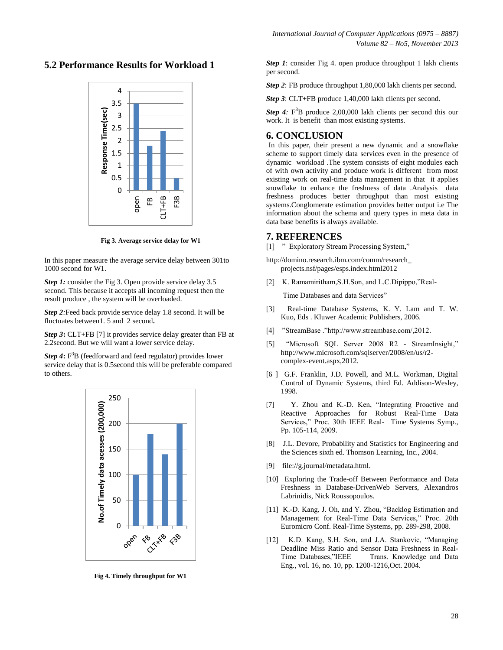## **5.2 Performance Results for Workload 1**



**Fig 3. Average service delay for W1**

In this paper measure the average service delay between 301to 1000 second for W1.

*Step 1:* consider the Fig 3. Open provide service delay 3.5 second. This because it accepts all incoming request then the result produce , the system will be overloaded.

*Step 2:*Feed back provide service delay 1.8 second. It will be fluctuates between1. 5 and 2 second**.**

*Step 3***:** CLT+FB [7] it provides service delay greater than FB at 2.2second. But we will want a lower service delay.

*Step 4***:** F <sup>3</sup>B (feedforward and feed regulator) provides lower service delay that is 0.5second this will be preferable compared to others.



**Fig 4. Timely throughput for W1**

*Step 1*: consider Fig 4. open produce throughput 1 lakh clients per second.

*Step 2*: FB produce throughput 1,80,000 lakh clients per second.

*Step 3*: CLT+FB produce 1,40,000 lakh clients per second.

*Step 4*:  $F^3B$  produce 2,00,000 lakh clients per second this our work. It is benefit than most existing systems.

## **6. CONCLUSION**

In this paper, their present a new dynamic and a snowflake scheme to support timely data services even in the presence of dynamic workload .The system consists of eight modules each of with own activity and produce work is different from most existing work on real-time data management in that it applies snowflake to enhance the freshness of data .Analysis data freshness produces better throughput than most existing systems.Conglomerate estimation provides better output i.e The information about the schema and query types in meta data in data base benefits is always available.

## **7. REFERENCES**

[1] " Exploratory Stream Processing System,"

http://domino.research.ibm.com/comm/research\_ projects.nsf/pages/esps.index.html2012

[2] K. Ramamiritham, S.H.Son, and L.C.Dipippo,"Real-

Time Databases and data Services"

- [3] Real-time Database Systems, K. Y. Lam and T. W. Kuo, Eds . Kluwer Academic Publishers, 2006.
- [4] "StreamBase ."http://www.streambase.com/,2012.
- [5] "Microsoft SQL Server 2008 R2 StreamInsight," [http://www.microsoft.com/sqlserver/2008/en/us/r2](http://www.microsoft.com/sqlserver/2008/en/us/r2-complex-event.aspx,2012) [complex-event.aspx,2012.](http://www.microsoft.com/sqlserver/2008/en/us/r2-complex-event.aspx,2012)
- [6 ] G.F. Franklin, J.D. Powell, and M.L. Workman, Digital Control of Dynamic Systems, third Ed. Addison-Wesley, 1998.
- [7] Y. Zhou and K.-D. Ken, "Integrating Proactive and Reactive Approaches for Robust Real-Time Data Services," Proc. 30th IEEE Real- Time Systems Symp., Pp. 105-114, 2009.
- [8] J.L. Devore, Probability and Statistics for Engineering and the Sciences sixth ed. Thomson Learning, Inc., 2004.
- [9] [file://g.journal/metadata.html.](file://g.journal/metadata.html)
- [10] Exploring the Trade-off Between Performance and Data Freshness in Database-DrivenWeb Servers, Alexandros Labrinidis, Nick Roussopoulos.
- [11] K.-D. Kang, J. Oh, and Y. Zhou, "Backlog Estimation and Management for Real-Time Data Services," Proc. 20th Euromicro Conf. Real-Time Systems, pp. 289-298, 2008.
- [12] K.D. Kang, S.H. Son, and J.A. Stankovic, "Managing Deadline Miss Ratio and Sensor Data Freshness in Real-Time Databases,"IEEE Trans. Knowledge and Data Eng., vol. 16, no. 10, pp. 1200-1216,Oct. 2004.